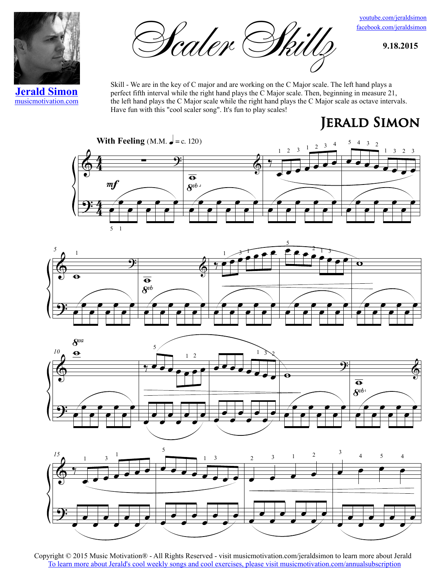

Scaler Skilly **1.18.2015** 

facebook.com/jeraldsimon youtube.com/jeraldsimon

**Jerald Simon** musicmotivation.com Skill - We are in the key of C major and are working on the C Major scale. The left hand plays a perfect fifth interval while the right hand plays the C Major scale. Then, beginning in measure 21, the left hand plays the C Major scale while the right hand plays the C Major scale as octave intervals. Have fun with this "cool scaler song". It's fun to play scales!

## **Jerald Simon**









Copyright © 2015 Music Motivation® - All Rights Reserved - visit musicmotivation.com/jeraldsimon to learn more about Jerald To learn more about Jerald's cool weekly songs and cool exercises, please visit musicmotivation.com/annualsubscription